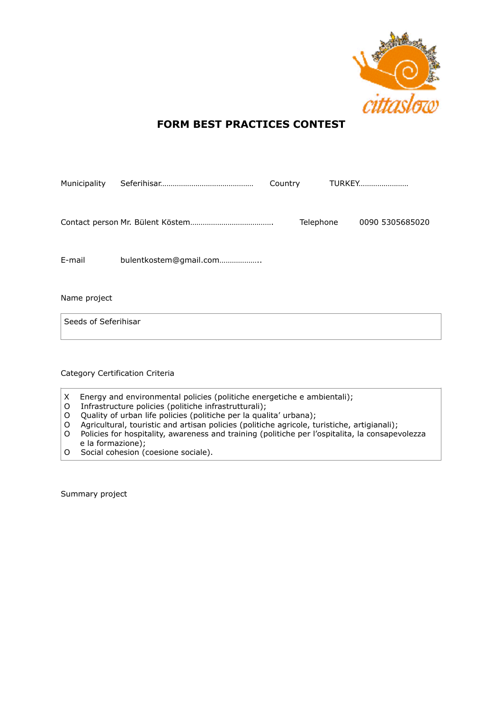

## **FORM BEST PRACTICES CONTEST**

| Municipality                    |                        | Country   | TURKEY          |
|---------------------------------|------------------------|-----------|-----------------|
|                                 |                        | Telephone | 0090 5305685020 |
| E-mail                          | bulentkostem@gmail.com |           |                 |
| Name project                    |                        |           |                 |
| Seeds of Seferihisar            |                        |           |                 |
| Category Certification Criteria |                        |           |                 |

- X Energy and environmental policies (politiche energetiche e ambientali);
- O Infrastructure policies (politiche infrastrutturali);
- O Quality of urban life policies (politiche per la qualita' urbana);
- O Agricultural, touristic and artisan policies (politiche agricole, turistiche, artigianali);
- O Policies for hospitality, awareness and training (politiche per l'ospitalita, la consapevolezza e la formazione);
- O Social cohesion (coesione sociale).

Summary project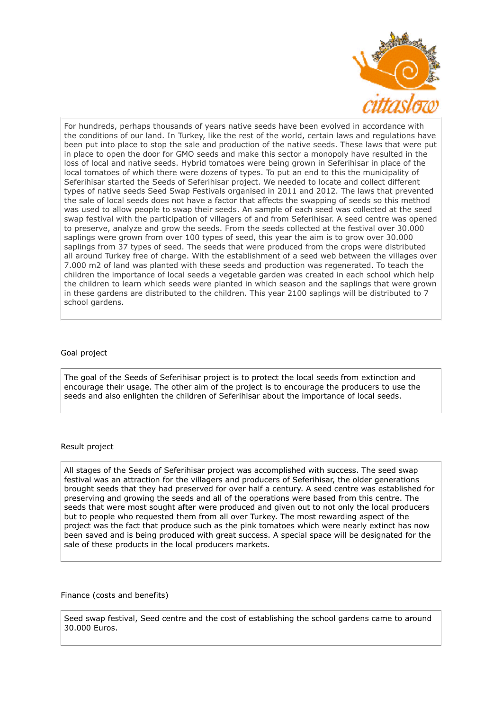

For hundreds, perhaps thousands of years native seeds have been evolved in accordance with the conditions of our land. In Turkey, like the rest of the world, certain laws and regulations have been put into place to stop the sale and production of the native seeds. These laws that were put in place to open the door for GMO seeds and make this sector a monopoly have resulted in the loss of local and native seeds. Hybrid tomatoes were being grown in Seferihisar in place of the local tomatoes of which there were dozens of types. To put an end to this the municipality of Seferihisar started the Seeds of Seferihisar project. We needed to locate and collect different types of native seeds Seed Swap Festivals organised in 2011 and 2012. The laws that prevented the sale of local seeds does not have a factor that affects the swapping of seeds so this method was used to allow people to swap their seeds. An sample of each seed was collected at the seed swap festival with the participation of villagers of and from Seferihisar. A seed centre was opened to preserve, analyze and grow the seeds. From the seeds collected at the festival over 30.000 saplings were grown from over 100 types of seed, this year the aim is to grow over 30.000 saplings from 37 types of seed. The seeds that were produced from the crops were distributed all around Turkey free of charge. With the establishment of a seed web between the villages over 7.000 m2 of land was planted with these seeds and production was regenerated. To teach the children the importance of local seeds a vegetable garden was created in each school which help the children to learn which seeds were planted in which season and the saplings that were grown in these gardens are distributed to the children. This year 2100 saplings will be distributed to 7 school gardens.

## Goal project

The goal of the Seeds of Seferihisar project is to protect the local seeds from extinction and encourage their usage. The other aim of the project is to encourage the producers to use the seeds and also enlighten the children of Seferihisar about the importance of local seeds.

## Result project

All stages of the Seeds of Seferihisar project was accomplished with success. The seed swap festival was an attraction for the villagers and producers of Seferihisar, the older generations brought seeds that they had preserved for over half a century. A seed centre was established for preserving and growing the seeds and all of the operations were based from this centre. The seeds that were most sought after were produced and given out to not only the local producers but to people who requested them from all over Turkey. The most rewarding aspect of the project was the fact that produce such as the pink tomatoes which were nearly extinct has now been saved and is being produced with great success. A special space will be designated for the sale of these products in the local producers markets.

## Finance (costs and benefits)

Seed swap festival, Seed centre and the cost of establishing the school gardens came to around 30.000 Euros.